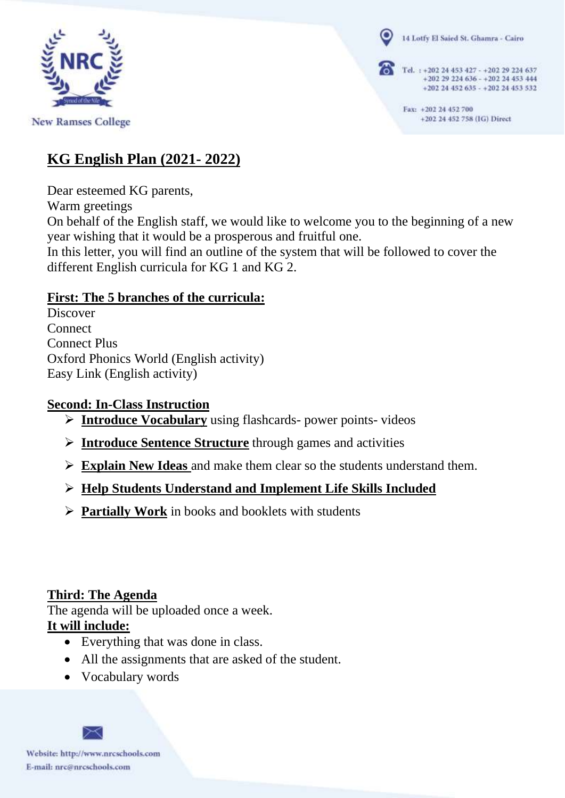

**New Ramses College** 

14 Lotfy El Saied St. Ghamra - Cairo

Tel. : +202 24 453 427 - +202 29 224 637 +202 29 224 636 - +202 24 453 444 +202 24 452 635 - +202 24 453 532

> Fax: +202 24 452 700 +202 24 452 758 (IG) Direct

### **KG English Plan (2021- 2022)**

Dear esteemed KG parents,

Warm greetings

On behalf of the English staff, we would like to welcome you to the beginning of a new year wishing that it would be a prosperous and fruitful one.

In this letter, you will find an outline of the system that will be followed to cover the different English curricula for KG 1 and KG 2.

### **First: The 5 branches of the curricula:**

Discover **Connect** Connect Plus Oxford Phonics World (English activity) Easy Link (English activity)

#### **Second: In-Class Instruction**

- ➢ **Introduce Vocabulary** using flashcards- power points- videos
- ➢ **Introduce Sentence Structure** through games and activities
- ➢ **Explain New Ideas** and make them clear so the students understand them.

# ➢ **Help Students Understand and Implement Life Skills Included**

➢ **Partially Work** in books and booklets with students

# **Third: The Agenda**

The agenda will be uploaded once a week.

# **It will include:**

- Everything that was done in class.
- All the assignments that are asked of the student.
- Vocabulary words

Website: http://www.nrcschools.com E-mail: nrc@nrcschools.com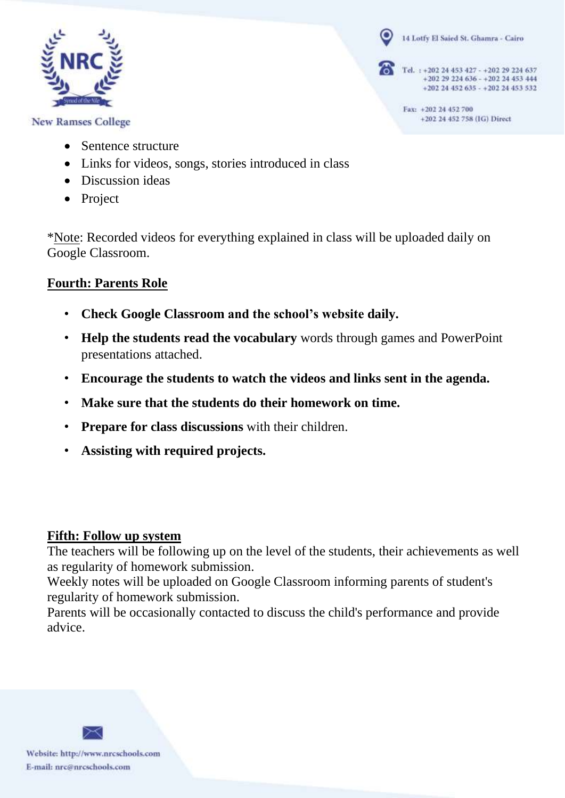

**New Ramses College** 

- Sentence structure
- Links for videos, songs, stories introduced in class
- Discussion ideas
- Project

\*Note: Recorded videos for everything explained in class will be uploaded daily on Google Classroom.

14 Lotfy El Saied St. Ghamra - Cairo

Tel. : +202 24 453 427 - +202 29 224 637

+202 24 452 758 (IG) Direct

Fax: +202 24 452 700

+202 29 224 636 - +202 24 453 444 +202 24 452 635 - +202 24 453 532

#### **Fourth: Parents Role**

- **Check Google Classroom and the school's website daily.**
- **Help the students read the vocabulary** words through games and PowerPoint presentations attached.
- **Encourage the students to watch the videos and links sent in the agenda.**
- **Make sure that the students do their homework on time.**
- **Prepare for class discussions** with their children.
- **Assisting with required projects.**

#### **Fifth: Follow up system**

The teachers will be following up on the level of the students, their achievements as well as regularity of homework submission.

Weekly notes will be uploaded on Google Classroom informing parents of student's regularity of homework submission.

Parents will be occasionally contacted to discuss the child's performance and provide advice.



Website: http://www.nrcschools.com E-mail: nrc@nrcschools.com